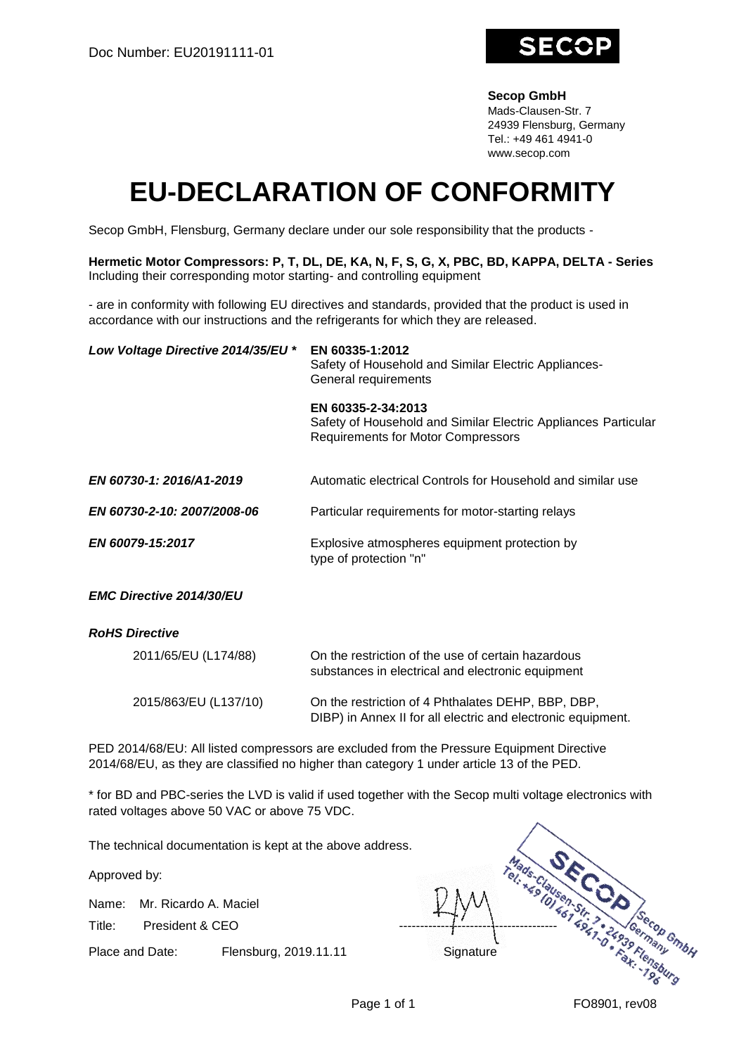

## **Secop GmbH**

Mads-Clausen-Str. 7 24939 Flensburg, Germany Tel.: +49 461 4941-0 www.secop.com

## **EU-DECLARATION OF CONFORMITY**

Secop GmbH, Flensburg, Germany declare under our sole responsibility that the products -

**Hermetic Motor Compressors: P, T, DL, DE, KA, N, F, S, G, X, PBC, BD, KAPPA, DELTA - Series** Including their corresponding motor starting- and controlling equipment

- are in conformity with following EU directives and standards, provided that the product is used in accordance with our instructions and the refrigerants for which they are released.

| Low Voltage Directive 2014/35/EU * | EN 60335-1:2012<br>Safety of Household and Similar Electric Appliances-<br>General requirements                                   |
|------------------------------------|-----------------------------------------------------------------------------------------------------------------------------------|
|                                    | EN 60335-2-34:2013<br>Safety of Household and Similar Electric Appliances Particular<br><b>Requirements for Motor Compressors</b> |
| EN 60730-1: 2016/A1-2019           | Automatic electrical Controls for Household and similar use                                                                       |
| EN 60730-2-10: 2007/2008-06        | Particular requirements for motor-starting relays                                                                                 |
| EN 60079-15:2017                   | Explosive atmospheres equipment protection by<br>type of protection "n"                                                           |
| <b>EMC Directive 2014/30/EU</b>    |                                                                                                                                   |
| <b>RoHS Directive</b>              |                                                                                                                                   |
| 2011/65/EU (L174/88)               | On the restriction of the use of certain hazardous<br>substances in electrical and electronic equipment                           |

2015/863/EU (L137/10) On the restriction of 4 Phthalates DEHP, BBP, DBP, DIBP) in Annex II for all electric and electronic equipment.

PED 2014/68/EU: All listed compressors are excluded from the Pressure Equipment Directive 2014/68/EU, as they are classified no higher than category 1 under article 13 of the PED.

\* for BD and PBC-series the LVD is valid if used together with the Secop multi voltage electronics with rated voltages above 50 VAC or above 75 VDC.

The technical documentation is kept at the above address.

Approved by:

Name: Mr. Ricardo A. Maciel

Place and Date: Flensburg, 2019.11.11 Signature

Title: President & CEO -------------------------------------- The Past Cream on